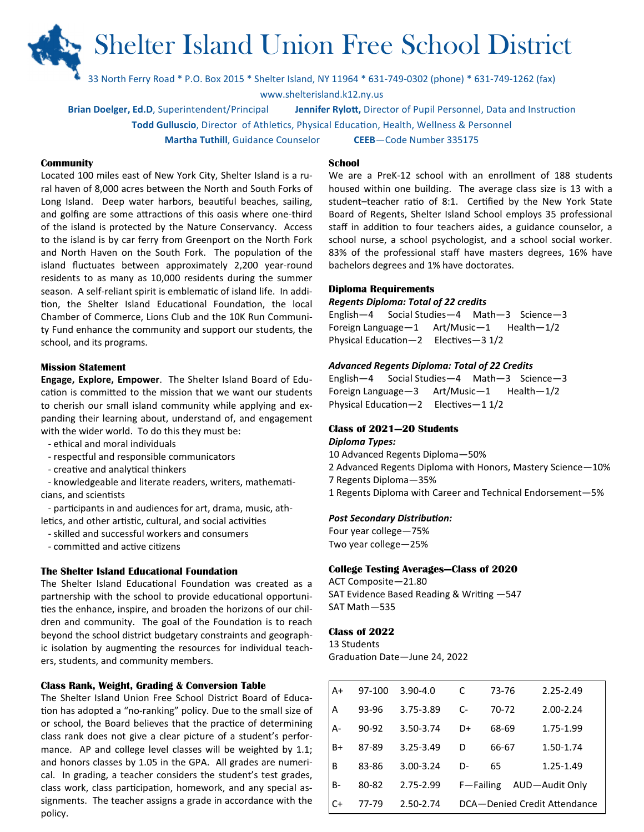# Shelter Island Union Free School District

33 North Ferry Road \* P.O. Box 2015 \* Shelter Island, NY 11964 \* 631-749-0302 (phone) \* 631-749-1262 (fax)

www.shelterisland.k12.ny.us

Brian Doelger, Ed.D, Superintendent/Principal Jennifer Rylott, Director of Pupil Personnel, Data and Instruction

Todd Gulluscio, Director of Athletics, Physical Education, Health, Wellness & Personnel

Martha Tuthill, Guidance Counselor CEEB-Code Number 335175

# School

#### **Community**

Located 100 miles east of New York City, Shelter Island is a rural haven of 8,000 acres between the North and South Forks of Long Island. Deep water harbors, beautiful beaches, sailing, and golfing are some attractions of this oasis where one-third of the island is protected by the Nature Conservancy. Access to the island is by car ferry from Greenport on the North Fork and North Haven on the South Fork. The population of the island fluctuates between approximately 2,200 year-round residents to as many as 10,000 residents during the summer season. A self-reliant spirit is emblematic of island life. In addition, the Shelter Island Educational Foundation, the local Chamber of Commerce, Lions Club and the 10K Run Community Fund enhance the community and support our students, the school, and its programs.

#### Mission Statement

Engage, Explore, Empower. The Shelter Island Board of Education is committed to the mission that we want our students to cherish our small island community while applying and expanding their learning about, understand of, and engagement with the wider world. To do this they must be:

- ethical and moral individuals
- respectful and responsible communicators
- creative and analytical thinkers

- knowledgeable and literate readers, writers, mathematicians, and scientists

- participants in and audiences for art, drama, music, athletics, and other artistic, cultural, and social activities

- skilled and successful workers and consumers
- committed and active citizens

### The Shelter Island Educational Foundation

The Shelter Island Educational Foundation was created as a partnership with the school to provide educational opportunities the enhance, inspire, and broaden the horizons of our children and community. The goal of the Foundation is to reach beyond the school district budgetary constraints and geographic isolation by augmenting the resources for individual teachers, students, and community members.

#### Class Rank, Weight, Grading & Conversion Table

The Shelter Island Union Free School District Board of Educa tion has adopted a "no-ranking" policy. Due to the small size of or school, the Board believes that the practice of determining class rank does not give a clear picture of a student's performance. AP and college level classes will be weighted by 1.1; and honors classes by 1.05 in the GPA. All grades are numerical. In grading, a teacher considers the student's test grades, class work, class participation, homework, and any special assignments. The teacher assigns a grade in accordance with the policy.

We are a PreK-12 school with an enrollment of 188 students housed within one building. The average class size is 13 with a student-teacher ratio of 8:1. Certified by the New York State Board of Regents, Shelter Island School employs 35 professional staff in addition to four teachers aides, a guidance counselor, a school nurse, a school psychologist, and a school social worker. 83% of the professional staff have masters degrees, 16% have bachelors degrees and 1% have doctorates.

#### Diploma Requirements

#### Regents Diploma: Total of 22 credits

English—4 Social Studies—4 Math—3 Science—3 Foreign Language—1 Art/Music—1 Health—1/2 Physical Education—2 Electives—3  $1/2$ 

#### Advanced Regents Diploma: Total of 22 Credits

English—4 Social Studies—4 Math—3 Science—3 Foreign Language—3 Art/Music—1 Health—1/2 Physical Education—2 Electives—1  $1/2$ 

#### Class of 2021—20 Students

#### Diploma Types:

10 Advanced Regents Diploma—50% 2 Advanced Regents Diploma with Honors, Mastery Science—10% 7 Regents Diploma—35% 1 Regents Diploma with Career and Technical Endorsement—5%

#### Post Secondary Distribution:

Four year college—75% Two year college—25%

#### College Testing Averages—Class of 2020

ACT Composite—21.80 SAT Evidence Based Reading & Writing -547 SAT Math—535

#### Class of 2022

13 Students Graduation Date-June 24, 2022

| A+ | 97-100 | $3.90 - 4.0$  | C                      | 73-76 | 2.25-2.49                    |
|----|--------|---------------|------------------------|-------|------------------------------|
| А  | 93-96  | 3.75-3.89     | $\mathsf{C}\mathsf{-}$ | 70-72 | $2.00 - 2.24$                |
| А- | 90-92  | 3.50-3.74     | $D+$                   | 68-69 | 1.75-1.99                    |
| B+ | 87-89  | $3.25 - 3.49$ | D                      | 66-67 | 1.50-1.74                    |
| B  | 83-86  | $3.00 - 3.24$ | D-                     | 65    | 1.25-1.49                    |
| B- | 80-82  | 2.75-2.99     | F-Failing              |       | AUD-Audit Only               |
| C+ | 77-79  | 2.50-2.74     |                        |       | DCA-Denied Credit Attendance |